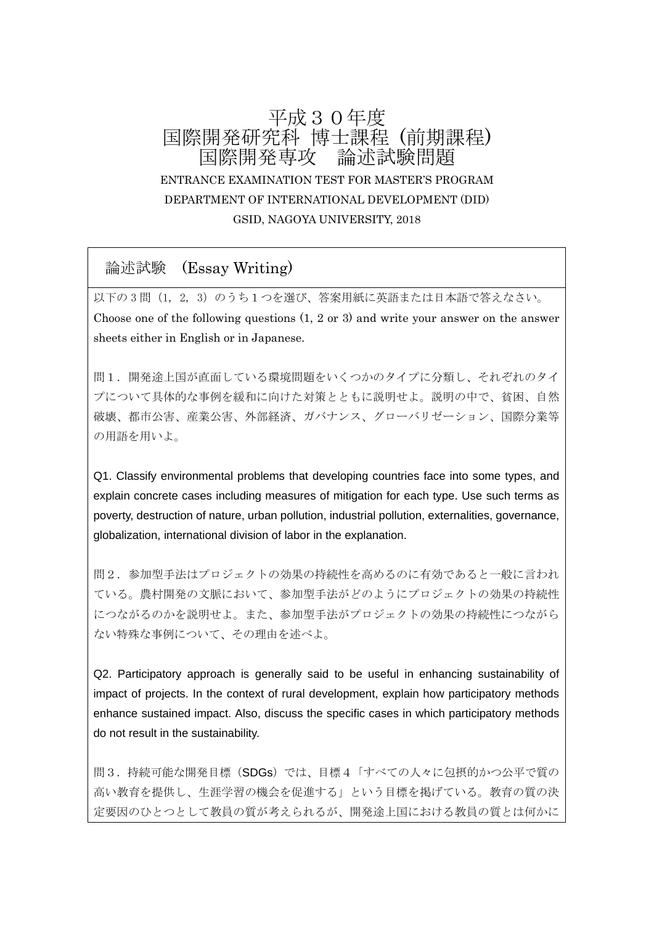# 平成30年度 国際開発研究科 博士課程 (前期課程) 国際開発専攻 論述試験問題 ENTRANCE EXAMINATION TEST FOR MASTER'S PROGRAM DEPARTMENT OF INTERNATIONAL DEVELOPMENT (DID) GSID, NAGOYA UNIVERSITY, 2018

## 論述試験 (Essay Writing)

以下の3問(1, 2, 3)のうち1つを選び、答案用紙に英語または日本語で答えなさい。 Choose one of the following questions (1, 2 or 3) and write your answer on the answer sheets either in English or in Japanese.

問1.開発途上国が直面している環境問題をいくつかのタイプに分類し、それぞれのタイ プについて具体的な事例を緩和に向けた対策とともに説明せよ。説明の中で、貧困、自然 破壊、都市公害、産業公害、外部経済、ガバナンス、グローバリゼーション、国際分業等 の用語を用いよ。

Q1. Classify environmental problems that developing countries face into some types, and explain concrete cases including measures of mitigation for each type. Use such terms as poverty, destruction of nature, urban pollution, industrial pollution, externalities, governance, globalization, international division of labor in the explanation.

問2.参加型手法はプロジェクトの効果の持続性を高めるのに有効であると一般に言われ ている。農村開発の文脈において、参加型手法がどのようにプロジェクトの効果の持続性 につながるのかを説明せよ。また、参加型手法がプロジェクトの効果の持続性につながら ない特殊な事例について、その理由を述べよ。

Q2. Participatory approach is generally said to be useful in enhancing sustainability of impact of projects. In the context of rural development, explain how participatory methods enhance sustained impact. Also, discuss the specific cases in which participatory methods do not result in the sustainability.

問3. 持続可能な開発目標(SDGs)では、目標4「すべての人々に包摂的かつ公平で質の 高い教育を提供し、生涯学習の機会を促進する」という目標を掲げている。教育の質の決 定要因のひとつとして教員の質が考えられるが、開発途上国における教員の質とは何かに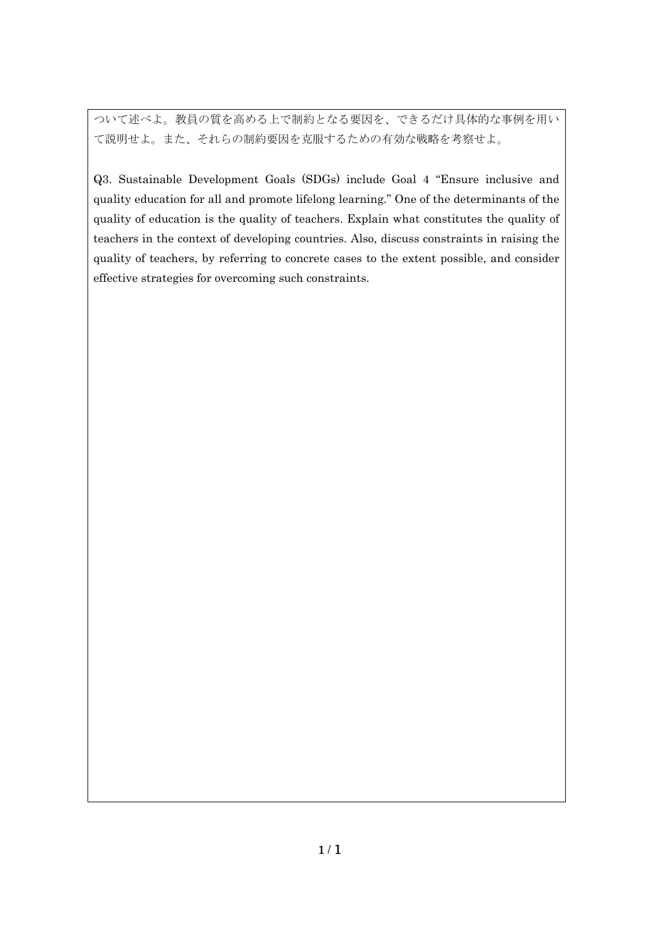ついて述べよ。教員の質を高める上で制約となる要因を、できるだけ具体的な事例を用い て説明せよ。また、それらの制約要因を克服するための有効な戦略を考察せよ。

Q3. Sustainable Development Goals (SDGs) include Goal 4 "Ensure inclusive and quality education for all and promote lifelong learning." One of the determinants of the quality of education is the quality of teachers. Explain what constitutes the quality of teachers in the context of developing countries. Also, discuss constraints in raising the quality of teachers, by referring to concrete cases to the extent possible, and consider effective strategies for overcoming such constraints.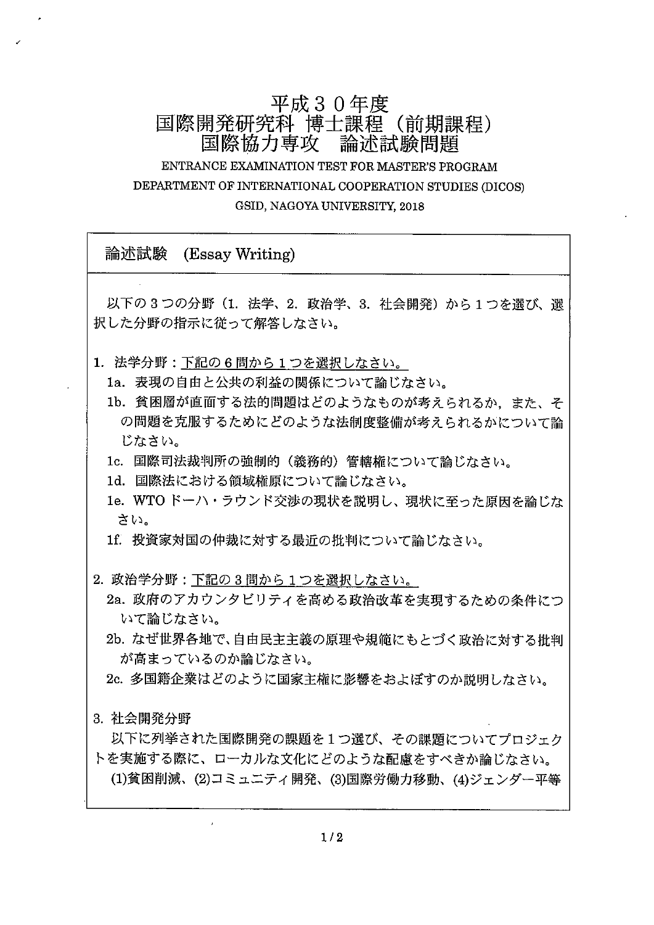# 平成30年度 国際開発研究科 博士課程 (前期課程) 国際協力専攻 論述試験問題

ENTRANCE EXAMINATION TEST FOR MASTER'S PROGRAM DEPARTMENT OF INTERNATIONAL COOPERATION STUDIES (DICOS) GSID, NAGOYA UNIVERSITY, 2018

論述試験 (Essay Writing) 以下の3つの分野(1. 法学、2. 政治学、3. 社会開発)から1つを選び、選 択した分野の指示に従って解答しなさい。 1. 法学分野:下記の6問から1つを選択しなさい。 1a. 表現の自由と公共の利益の関係について論じなさい。 1b. 貧困層が直面する法的問題はどのようなものが考えられるか. また、そ の問題を克服するためにどのような法制度整備が考えられるかについて論 じなさい。 1c. 国際司法裁判所の強制的(義務的)管轄権について論じなさい。 1d. 国際法における領域権原について論じなさい。

1e. WTOドーハ・ラウンド交渉の現状を説明し、現状に至った原因を論じな さい。

1f. 投資家対国の仲裁に対する最近の批判について論じなさい。

2. 政治学分野:下記の3問から1つを選択しなさい。

2a. 政府のアカウンタビリティを高める政治改革を実現するための条件につ いて論じなさい。

2b. なぜ世界各地で、自由民主主義の原理や規範にもとづく政治に対する批判 が高まっているのか論じなさい。

2c. 多国籍企業はどのように国家主権に影響をおよぼすのか説明しなさい。

3. 社会開発分野

以下に列挙された国際開発の課題を1つ選び、その課題についてプロジェク トを実施する際に、ローカルな文化にどのような配慮をすべきか論じなさい。 (1)貧困削減、(2)コミュニティ開発、(3)国際労働力移動、(4)ジェンダー平等